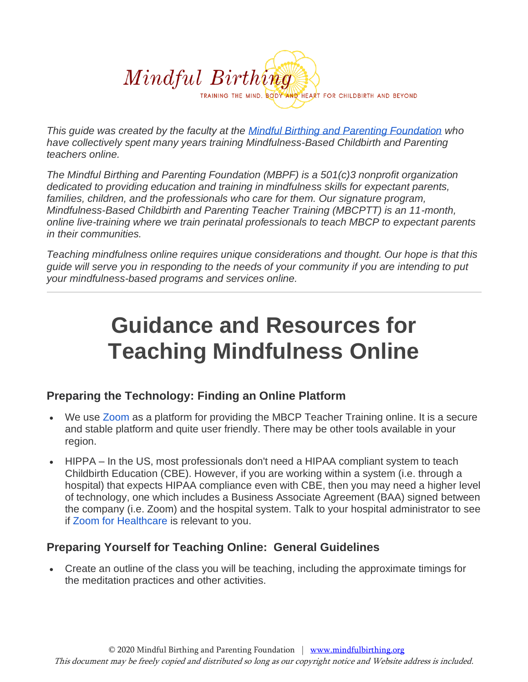

*This guide was created by the faculty at the [Mindful Birthing and Parenting Foundation](http://www.mindfulbirthing.org/) who have collectively spent many years training Mindfulness-Based Childbirth and Parenting teachers online.*

*The Mindful Birthing and Parenting Foundation (MBPF) is a 501(c)3 nonprofit organization dedicated to providing education and training in mindfulness skills for expectant parents, families, children, and the professionals who care for them. Our signature program, Mindfulness-Based Childbirth and Parenting Teacher Training (MBCPTT) is an 11-month, online live-training where we train perinatal professionals to teach MBCP to expectant parents in their communities.*

*Teaching mindfulness online requires unique considerations and thought. Our hope is that this guide will serve you in responding to the needs of your community if you are intending to put your mindfulness-based programs and services online.*

# **Guidance and Resources for Teaching Mindfulness Online**

# **Preparing the Technology: Finding an Online Platform**

- We use [Zoom](https://www.zoom.us/) as a platform for providing the MBCP Teacher Training online. It is a secure and stable platform and quite user friendly. There may be other tools available in your region.
- HIPPA In the US, most professionals don't need a HIPAA compliant system to teach Childbirth Education (CBE). However, if you are working within a system (i.e. through a hospital) that expects HIPAA compliance even with CBE, then you may need a higher level of technology, one which includes a Business Associate Agreement (BAA) signed between the company (i.e. Zoom) and the hospital system. Talk to your hospital administrator to see if [Zoom for Healthcare](https://zoom.us/healthcare) is relevant to you.

# **Preparing Yourself for Teaching Online: General Guidelines**

• Create an outline of the class you will be teaching, including the approximate timings for the meditation practices and other activities.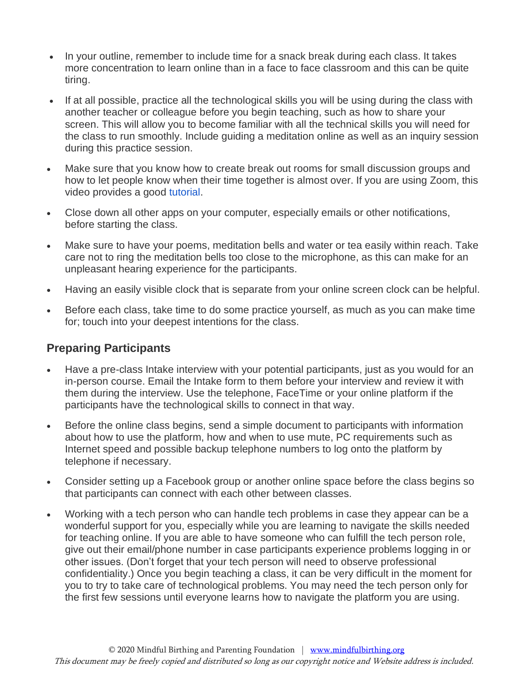- In your outline, remember to include time for a snack break during each class. It takes more concentration to learn online than in a face to face classroom and this can be quite tiring.
- If at all possible, practice all the technological skills you will be using during the class with another teacher or colleague before you begin teaching, such as how to share your screen. This will allow you to become familiar with all the technical skills you will need for the class to run smoothly. Include guiding a meditation online as well as an inquiry session during this practice session.
- Make sure that you know how to create break out rooms for small discussion groups and how to let people know when their time together is almost over. If you are using Zoom, this video provides a good [tutorial.](https://support.zoom.us/hc/en-us/articles/206476093-Getting-Started-with-Video-Breakout-Rooms)
- Close down all other apps on your computer, especially emails or other notifications, before starting the class.
- Make sure to have your poems, meditation bells and water or tea easily within reach. Take care not to ring the meditation bells too close to the microphone, as this can make for an unpleasant hearing experience for the participants.
- Having an easily visible clock that is separate from your online screen clock can be helpful.
- Before each class, take time to do some practice yourself, as much as you can make time for; touch into your deepest intentions for the class.

# **Preparing Participants**

- Have a pre-class Intake interview with your potential participants, just as you would for an in-person course. Email the Intake form to them before your interview and review it with them during the interview. Use the telephone, FaceTime or your online platform if the participants have the technological skills to connect in that way.
- Before the online class begins, send a simple document to participants with information about how to use the platform, how and when to use mute, PC requirements such as Internet speed and possible backup telephone numbers to log onto the platform by telephone if necessary.
- Consider setting up a Facebook group or another online space before the class begins so that participants can connect with each other between classes.
- Working with a tech person who can handle tech problems in case they appear can be a wonderful support for you, especially while you are learning to navigate the skills needed for teaching online. If you are able to have someone who can fulfill the tech person role, give out their email/phone number in case participants experience problems logging in or other issues. (Don't forget that your tech person will need to observe professional confidentiality.) Once you begin teaching a class, it can be very difficult in the moment for you to try to take care of technological problems. You may need the tech person only for the first few sessions until everyone learns how to navigate the platform you are using.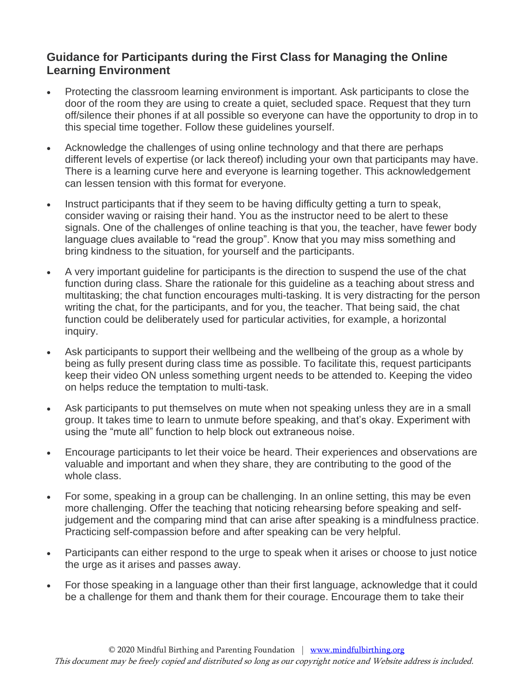#### **Guidance for Participants during the First Class for Managing the Online Learning Environment**

- Protecting the classroom learning environment is important. Ask participants to close the door of the room they are using to create a quiet, secluded space. Request that they turn off/silence their phones if at all possible so everyone can have the opportunity to drop in to this special time together. Follow these guidelines yourself.
- Acknowledge the challenges of using online technology and that there are perhaps different levels of expertise (or lack thereof) including your own that participants may have. There is a learning curve here and everyone is learning together. This acknowledgement can lessen tension with this format for everyone.
- Instruct participants that if they seem to be having difficulty getting a turn to speak, consider waving or raising their hand. You as the instructor need to be alert to these signals. One of the challenges of online teaching is that you, the teacher, have fewer body language clues available to "read the group". Know that you may miss something and bring kindness to the situation, for yourself and the participants.
- A very important guideline for participants is the direction to suspend the use of the chat function during class. Share the rationale for this guideline as a teaching about stress and multitasking; the chat function encourages multi-tasking. It is very distracting for the person writing the chat, for the participants, and for you, the teacher. That being said, the chat function could be deliberately used for particular activities, for example, a horizontal inquiry.
- Ask participants to support their wellbeing and the wellbeing of the group as a whole by being as fully present during class time as possible. To facilitate this, request participants keep their video ON unless something urgent needs to be attended to. Keeping the video on helps reduce the temptation to multi-task.
- Ask participants to put themselves on mute when not speaking unless they are in a small group. It takes time to learn to unmute before speaking, and that's okay. Experiment with using the "mute all" function to help block out extraneous noise.
- Encourage participants to let their voice be heard. Their experiences and observations are valuable and important and when they share, they are contributing to the good of the whole class.
- For some, speaking in a group can be challenging. In an online setting, this may be even more challenging. Offer the teaching that noticing rehearsing before speaking and selfjudgement and the comparing mind that can arise after speaking is a mindfulness practice. Practicing self-compassion before and after speaking can be very helpful.
- Participants can either respond to the urge to speak when it arises or choose to just notice the urge as it arises and passes away.
- For those speaking in a language other than their first language, acknowledge that it could be a challenge for them and thank them for their courage. Encourage them to take their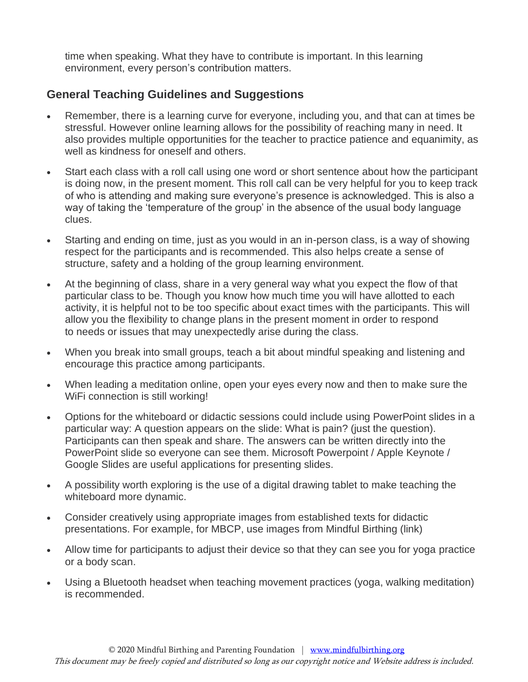time when speaking. What they have to contribute is important. In this learning environment, every person's contribution matters.

# **General Teaching Guidelines and Suggestions**

- Remember, there is a learning curve for everyone, including you, and that can at times be stressful. However online learning allows for the possibility of reaching many in need. It also provides multiple opportunities for the teacher to practice patience and equanimity, as well as kindness for oneself and others.
- Start each class with a roll call using one word or short sentence about how the participant is doing now, in the present moment. This roll call can be very helpful for you to keep track of who is attending and making sure everyone's presence is acknowledged. This is also a way of taking the 'temperature of the group' in the absence of the usual body language clues.
- Starting and ending on time, just as you would in an in-person class, is a way of showing respect for the participants and is recommended. This also helps create a sense of structure, safety and a holding of the group learning environment.
- At the beginning of class, share in a very general way what you expect the flow of that particular class to be. Though you know how much time you will have allotted to each activity, it is helpful not to be too specific about exact times with the participants. This will allow you the flexibility to change plans in the present moment in order to respond to needs or issues that may unexpectedly arise during the class.
- When you break into small groups, teach a bit about mindful speaking and listening and encourage this practice among participants.
- When leading a meditation online, open your eyes every now and then to make sure the WiFi connection is still working!
- Options for the whiteboard or didactic sessions could include using PowerPoint slides in a particular way: A question appears on the slide: What is pain? (just the question). Participants can then speak and share. The answers can be written directly into the PowerPoint slide so everyone can see them. Microsoft Powerpoint / Apple Keynote / Google Slides are useful applications for presenting slides.
- A possibility worth exploring is the use of a [digital drawing tablet](https://www.amazon.com/StarG640-Ultrathin-Graphics-Battery-Free-Pressure/dp/B078YR2MTF) to make teaching the whiteboard more dynamic.
- Consider creatively using appropriate images from established texts for didactic presentations. For example, for MBCP, use images from Mindful Birthing (link)
- Allow time for participants to adjust their device so that they can see you for yoga practice or a body scan.
- Using a Bluetooth headset when teaching movement practices (yoga, walking meditation) is recommended.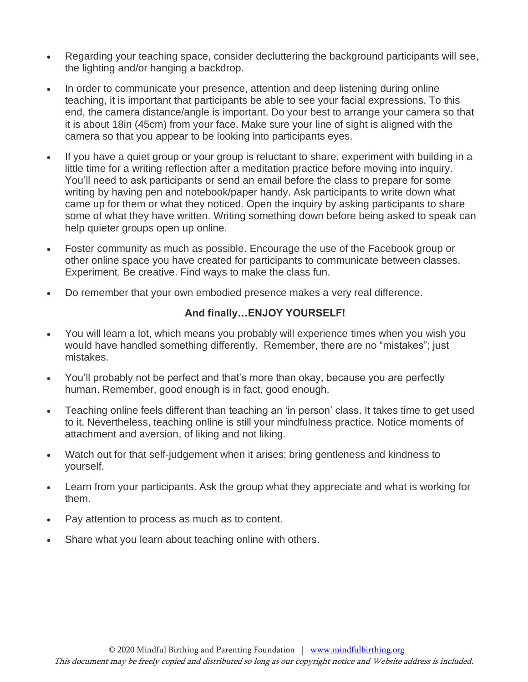- Regarding your teaching space, consider decluttering the background participants will see, the lighting and/or hanging a backdrop.
- In order to communicate your presence, attention and deep listening during online teaching, it is important that participants be able to see your facial expressions. To this end, the camera distance/angle is important. Do your best to arrange your camera so that it is about 18in (45cm) from your face. Make sure your line of sight is aligned with the camera so that you appear to be looking into participants eyes.
- If you have a quiet group or your group is reluctant to share, experiment with building in a little time for a writing reflection after a meditation practice before moving into inquiry. You'll need to ask participants or send an email before the class to prepare for some writing by having pen and notebook/paper handy. Ask participants to write down what came up for them or what they noticed. Open the inquiry by asking participants to share some of what they have written. Writing something down before being asked to speak can help quieter groups open up online.
- Foster community as much as possible. Encourage the use of the Facebook group or other online space you have created for participants to communicate between classes. Experiment. Be creative. Find ways to make the class fun.
- Do remember that your own embodied presence makes a very real difference.

#### **And finally…ENJOY YOURSELF!**

- You will learn a lot, which means you probably will experience times when you wish you would have handled something differently. Remember, there are no "mistakes"; just mistakes.
- You'll probably not be perfect and that's more than okay, because you are perfectly human. Remember, good enough is in fact, good enough.
- Teaching online feels different than teaching an 'in person' class. It takes time to get used to it. Nevertheless, teaching online is still your mindfulness practice. Notice moments of attachment and aversion, of liking and not liking.
- Watch out for that self-judgement when it arises; bring gentleness and kindness to yourself.
- Learn from your participants. Ask the group what they appreciate and what is working for them.
- Pay attention to process as much as to content.
- Share what you learn about teaching online with others.